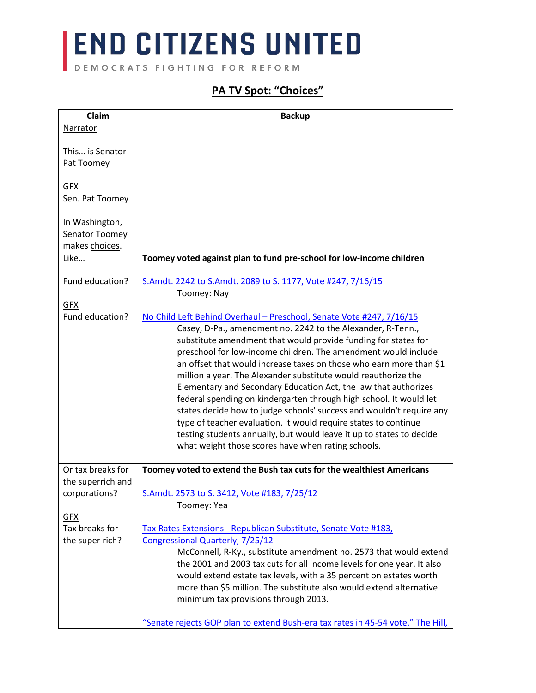DEMOCRATS FIGHTING FOR REFORM

#### **PA TV Spot: "Choices"**

| Claim             | <b>Backup</b>                                                                   |
|-------------------|---------------------------------------------------------------------------------|
| Narrator          |                                                                                 |
|                   |                                                                                 |
| This is Senator   |                                                                                 |
| Pat Toomey        |                                                                                 |
|                   |                                                                                 |
| <b>GFX</b>        |                                                                                 |
| Sen. Pat Toomey   |                                                                                 |
| In Washington,    |                                                                                 |
| Senator Toomey    |                                                                                 |
| makes choices.    |                                                                                 |
| Like              | Toomey voted against plan to fund pre-school for low-income children            |
|                   |                                                                                 |
| Fund education?   | S.Amdt. 2242 to S.Amdt. 2089 to S. 1177, Vote #247, 7/16/15                     |
|                   | Toomey: Nay                                                                     |
| <b>GFX</b>        |                                                                                 |
| Fund education?   | No Child Left Behind Overhaul - Preschool, Senate Vote #247, 7/16/15            |
|                   | Casey, D-Pa., amendment no. 2242 to the Alexander, R-Tenn.,                     |
|                   | substitute amendment that would provide funding for states for                  |
|                   | preschool for low-income children. The amendment would include                  |
|                   | an offset that would increase taxes on those who earn more than \$1             |
|                   | million a year. The Alexander substitute would reauthorize the                  |
|                   | Elementary and Secondary Education Act, the law that authorizes                 |
|                   | federal spending on kindergarten through high school. It would let              |
|                   | states decide how to judge schools' success and wouldn't require any            |
|                   | type of teacher evaluation. It would require states to continue                 |
|                   | testing students annually, but would leave it up to states to decide            |
|                   | what weight those scores have when rating schools.                              |
| Or tax breaks for | Toomey voted to extend the Bush tax cuts for the wealthiest Americans           |
| the superrich and |                                                                                 |
| corporations?     | S.Amdt. 2573 to S. 3412, Vote #183, 7/25/12                                     |
|                   | Toomey: Yea                                                                     |
| <b>GFX</b>        |                                                                                 |
| Tax breaks for    | Tax Rates Extensions - Republican Substitute, Senate Vote #183,                 |
| the super rich?   | Congressional Quarterly, 7/25/12                                                |
|                   | McConnell, R-Ky., substitute amendment no. 2573 that would extend               |
|                   | the 2001 and 2003 tax cuts for all income levels for one year. It also          |
|                   | would extend estate tax levels, with a 35 percent on estates worth              |
|                   | more than \$5 million. The substitute also would extend alternative             |
|                   | minimum tax provisions through 2013.                                            |
|                   |                                                                                 |
|                   | "Senate rejects GOP plan to extend Bush-era tax rates in 45-54 vote." The Hill, |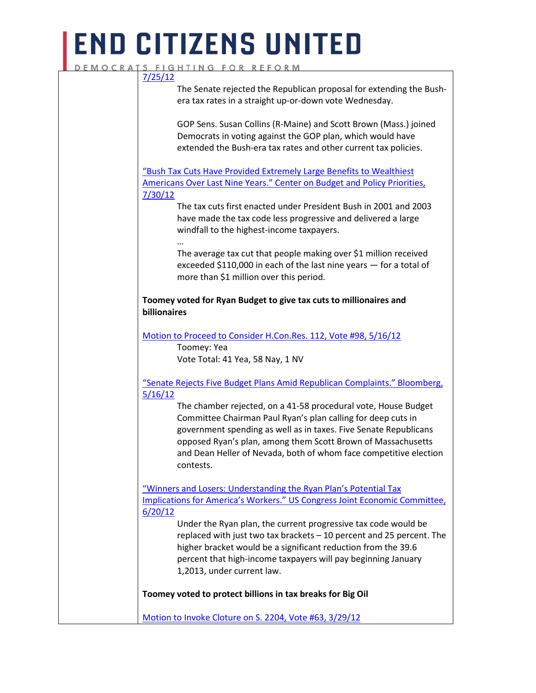#### DEMOCRATS FIGHTING FOR REFORM [7/25/12](http://thehill.com/blogs/floor-action/senate/240083-senate-rejects-gop-plan-for-extending-bush-tax-rates-in-vote) The Senate rejected the Republican proposal for extending the Bushera tax rates in a straight up-or-down vote Wednesday. GOP Sens. Susan Collins (R-Maine) and Scott Brown (Mass.) joined Democrats in voting against the GOP plan, which would have extended the Bush-era tax rates and other current tax policies. ["Bush Tax Cuts Have Provided Extremely Large Benefits to Wealthiest](http://www.cbpp.org/research/bush-tax-cuts-have-provided-extremely-large-benefits-to-wealthiest-americans-over-last-nine)  [Americans Over Last Nine Years." Center on Budget and Policy Priorities,](http://www.cbpp.org/research/bush-tax-cuts-have-provided-extremely-large-benefits-to-wealthiest-americans-over-last-nine)  [7/30/12](http://www.cbpp.org/research/bush-tax-cuts-have-provided-extremely-large-benefits-to-wealthiest-americans-over-last-nine) The tax cuts first enacted under President Bush in 2001 and 2003 have made the tax code less progressive and delivered a large windfall to the highest-income taxpayers. … The average tax cut that people making over \$1 million received exceeded \$110,000 in each of the last nine years — for a total of more than \$1 million over this period. **Toomey voted for Ryan Budget to give tax cuts to millionaires and billionaires** [Motion to Proceed to Consider H.Con.Res. 112, Vote #98, 5/16/12](http://www.senate.gov/legislative/LIS/roll_call_lists/roll_call_vote_cfm.cfm?congress=112&session=2&vote=00098) Toomey: Yea Vote Total: 41 Yea, 58 Nay, 1 NV "Senate Rejects [Five Budget Plans Amid Republican Complaints." Bloomberg,](http://www.bloomberg.com/news/articles/2012-05-16/republicans-seize-control-of-senate-agenda-to-force-budget-votes)  [5/16/12](http://www.bloomberg.com/news/articles/2012-05-16/republicans-seize-control-of-senate-agenda-to-force-budget-votes) The chamber rejected, on a 41-58 procedural vote, House Budget

Committee Chairman Paul Ryan's plan calling for deep cuts in government spending as well as in taxes. Five Senate Republicans opposed Ryan's plan, among them Scott Brown of Massachusetts and Dean Heller of Nevada, both of whom face competitive election contests.

["Winners and Losers: Understanding the Ryan Plan's Potential Tax](http://www.jec.senate.gov/public/_cache/files/bc6c837c-cfbd-4212-a85f-9b88695dcb85/jec-releases-new-report-on-the-ryan-plan-s-potential-tax-implications-for-america-s-workers.pdf)  [Implications for America's Workers." US Congress Joint Economic Committee,](http://www.jec.senate.gov/public/_cache/files/bc6c837c-cfbd-4212-a85f-9b88695dcb85/jec-releases-new-report-on-the-ryan-plan-s-potential-tax-implications-for-america-s-workers.pdf)  [6/20/12](http://www.jec.senate.gov/public/_cache/files/bc6c837c-cfbd-4212-a85f-9b88695dcb85/jec-releases-new-report-on-the-ryan-plan-s-potential-tax-implications-for-america-s-workers.pdf)

Under the Ryan plan, the current progressive tax code would be replaced with just two tax brackets – 10 percent and 25 percent. The higher bracket would be a significant reduction from the 39.6 percent that high-income taxpayers will pay beginning January 1,2013, under current law.

**Toomey voted to protect billions in tax breaks for Big Oil**

[Motion to Invoke Cloture on S. 2204, Vote #63, 3/29/12](http://www.senate.gov/legislative/LIS/roll_call_lists/roll_call_vote_cfm.cfm?congress=112&session=2&vote=00063&mc_cid=1ea1b0be63&mc_eid=%5BUNIQID%5D)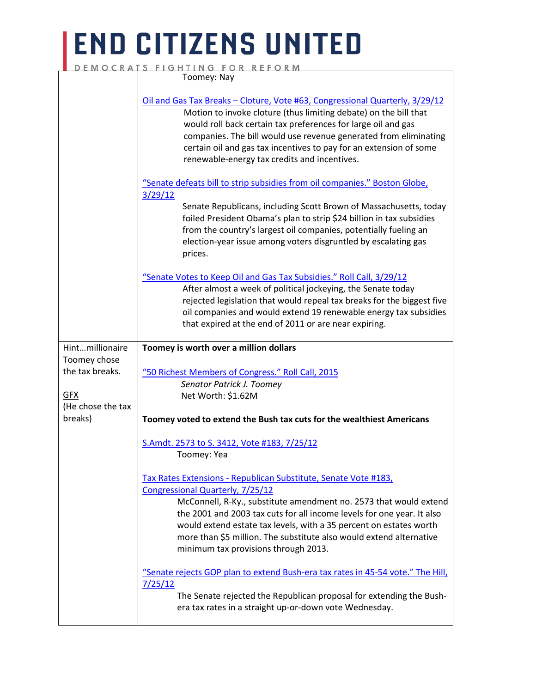|                   | DEMOCRATS FIGHTING FOR REFORM                                                                                                                                                                                                                                                                                                                                                                               |
|-------------------|-------------------------------------------------------------------------------------------------------------------------------------------------------------------------------------------------------------------------------------------------------------------------------------------------------------------------------------------------------------------------------------------------------------|
|                   | Toomey: Nay                                                                                                                                                                                                                                                                                                                                                                                                 |
|                   | Oil and Gas Tax Breaks - Cloture, Vote #63, Congressional Quarterly, 3/29/12<br>Motion to invoke cloture (thus limiting debate) on the bill that<br>would roll back certain tax preferences for large oil and gas<br>companies. The bill would use revenue generated from eliminating<br>certain oil and gas tax incentives to pay for an extension of some<br>renewable-energy tax credits and incentives. |
|                   | "Senate defeats bill to strip subsidies from oil companies." Boston Globe,                                                                                                                                                                                                                                                                                                                                  |
|                   | 3/29/12<br>Senate Republicans, including Scott Brown of Massachusetts, today<br>foiled President Obama's plan to strip \$24 billion in tax subsidies<br>from the country's largest oil companies, potentially fueling an<br>election-year issue among voters disgruntled by escalating gas<br>prices.                                                                                                       |
|                   | "Senate Votes to Keep Oil and Gas Tax Subsidies." Roll Call, 3/29/12<br>After almost a week of political jockeying, the Senate today<br>rejected legislation that would repeal tax breaks for the biggest five<br>oil companies and would extend 19 renewable energy tax subsidies<br>that expired at the end of 2011 or are near expiring.                                                                 |
|                   |                                                                                                                                                                                                                                                                                                                                                                                                             |
| Hintmillionaire   |                                                                                                                                                                                                                                                                                                                                                                                                             |
| Toomey chose      | Toomey is worth over a million dollars                                                                                                                                                                                                                                                                                                                                                                      |
| the tax breaks.   | "50 Richest Members of Congress." Roll Call, 2015                                                                                                                                                                                                                                                                                                                                                           |
|                   | Senator Patrick J. Toomey                                                                                                                                                                                                                                                                                                                                                                                   |
| <b>GFX</b>        | Net Worth: \$1.62M                                                                                                                                                                                                                                                                                                                                                                                          |
| (He chose the tax |                                                                                                                                                                                                                                                                                                                                                                                                             |
| breaks)           | Toomey voted to extend the Bush tax cuts for the wealthiest Americans                                                                                                                                                                                                                                                                                                                                       |
|                   | S.Amdt. 2573 to S. 3412, Vote #183, 7/25/12                                                                                                                                                                                                                                                                                                                                                                 |
|                   | Toomey: Yea                                                                                                                                                                                                                                                                                                                                                                                                 |
|                   |                                                                                                                                                                                                                                                                                                                                                                                                             |
|                   | Tax Rates Extensions - Republican Substitute, Senate Vote #183,<br>Congressional Quarterly, 7/25/12                                                                                                                                                                                                                                                                                                         |
|                   | McConnell, R-Ky., substitute amendment no. 2573 that would extend                                                                                                                                                                                                                                                                                                                                           |
|                   | the 2001 and 2003 tax cuts for all income levels for one year. It also                                                                                                                                                                                                                                                                                                                                      |
|                   | would extend estate tax levels, with a 35 percent on estates worth                                                                                                                                                                                                                                                                                                                                          |
|                   | more than \$5 million. The substitute also would extend alternative<br>minimum tax provisions through 2013.                                                                                                                                                                                                                                                                                                 |
|                   | "Senate rejects GOP plan to extend Bush-era tax rates in 45-54 vote." The Hill,                                                                                                                                                                                                                                                                                                                             |
|                   | 7/25/12<br>The Senate rejected the Republican proposal for extending the Bush-                                                                                                                                                                                                                                                                                                                              |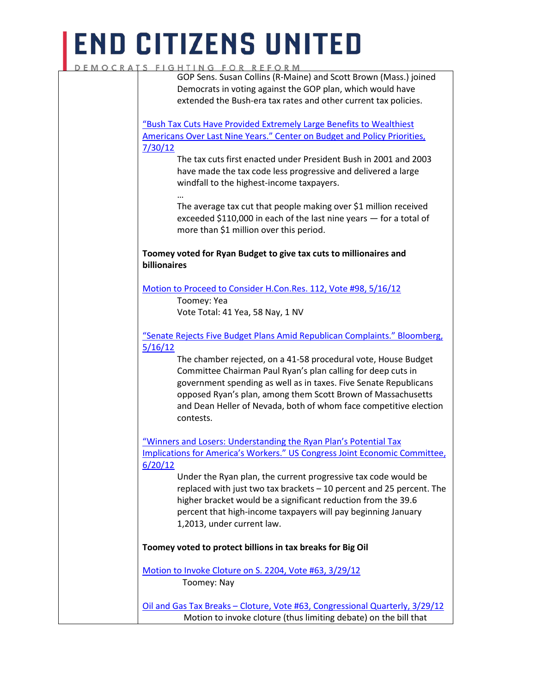### **END CITIZENS UNITED** DEMOC

|              | RATS FIGHTING FOR REFORM                                                        |
|--------------|---------------------------------------------------------------------------------|
|              | GOP Sens. Susan Collins (R-Maine) and Scott Brown (Mass.) joined                |
|              | Democrats in voting against the GOP plan, which would have                      |
|              | extended the Bush-era tax rates and other current tax policies.                 |
|              | "Bush Tax Cuts Have Provided Extremely Large Benefits to Wealthiest             |
|              | <b>Americans Over Last Nine Years." Center on Budget and Policy Priorities,</b> |
| 7/30/12      |                                                                                 |
|              | The tax cuts first enacted under President Bush in 2001 and 2003                |
|              | have made the tax code less progressive and delivered a large                   |
|              | windfall to the highest-income taxpayers.                                       |
|              |                                                                                 |
|              | The average tax cut that people making over \$1 million received                |
|              | exceeded \$110,000 in each of the last nine years - for a total of              |
|              | more than \$1 million over this period.                                         |
|              | Toomey voted for Ryan Budget to give tax cuts to millionaires and               |
| billionaires |                                                                                 |
|              | Motion to Proceed to Consider H.Con.Res. 112, Vote #98, 5/16/12                 |
|              | Toomey: Yea                                                                     |
|              | Vote Total: 41 Yea, 58 Nay, 1 NV                                                |
|              | "Senate Rejects Five Budget Plans Amid Republican Complaints." Bloomberg,       |
| 5/16/12      |                                                                                 |
|              | The chamber rejected, on a 41-58 procedural vote, House Budget                  |
|              | Committee Chairman Paul Ryan's plan calling for deep cuts in                    |
|              | government spending as well as in taxes. Five Senate Republicans                |
|              | opposed Ryan's plan, among them Scott Brown of Massachusetts                    |
|              | and Dean Heller of Nevada, both of whom face competitive election               |
|              | contests.                                                                       |
|              | "Winners and Losers: Understanding the Ryan Plan's Potential Tax                |
|              | Implications for America's Workers." US Congress Joint Economic Committee,      |
| 6/20/12      |                                                                                 |
|              | Under the Ryan plan, the current progressive tax code would be                  |
|              | replaced with just two tax brackets - 10 percent and 25 percent. The            |
|              | higher bracket would be a significant reduction from the 39.6                   |
|              | percent that high-income taxpayers will pay beginning January                   |
|              | 1,2013, under current law.                                                      |
|              |                                                                                 |
|              | Toomey voted to protect billions in tax breaks for Big Oil                      |
|              | Motion to Invoke Cloture on S. 2204, Vote #63, 3/29/12                          |
|              | Toomey: Nay                                                                     |
|              | Oil and Gas Tax Breaks - Cloture, Vote #63, Congressional Quarterly, 3/29/12    |

Motion to invoke cloture (thus limiting debate) on the bill that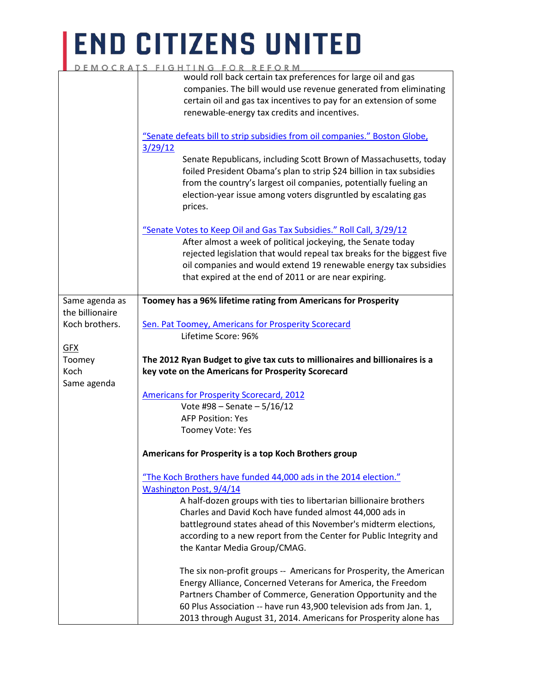|                 | GHIING FOK KEFOKM                                                                                                                                                                                                                                                                                                                           |
|-----------------|---------------------------------------------------------------------------------------------------------------------------------------------------------------------------------------------------------------------------------------------------------------------------------------------------------------------------------------------|
|                 | would roll back certain tax preferences for large oil and gas                                                                                                                                                                                                                                                                               |
|                 | companies. The bill would use revenue generated from eliminating                                                                                                                                                                                                                                                                            |
|                 | certain oil and gas tax incentives to pay for an extension of some                                                                                                                                                                                                                                                                          |
|                 | renewable-energy tax credits and incentives.                                                                                                                                                                                                                                                                                                |
|                 |                                                                                                                                                                                                                                                                                                                                             |
|                 | "Senate defeats bill to strip subsidies from oil companies." Boston Globe,                                                                                                                                                                                                                                                                  |
|                 | 3/29/12                                                                                                                                                                                                                                                                                                                                     |
|                 | Senate Republicans, including Scott Brown of Massachusetts, today<br>foiled President Obama's plan to strip \$24 billion in tax subsidies<br>from the country's largest oil companies, potentially fueling an<br>election-year issue among voters disgruntled by escalating gas<br>prices.                                                  |
|                 | "Senate Votes to Keep Oil and Gas Tax Subsidies." Roll Call, 3/29/12<br>After almost a week of political jockeying, the Senate today<br>rejected legislation that would repeal tax breaks for the biggest five<br>oil companies and would extend 19 renewable energy tax subsidies<br>that expired at the end of 2011 or are near expiring. |
| Same agenda as  | Toomey has a 96% lifetime rating from Americans for Prosperity                                                                                                                                                                                                                                                                              |
| the billionaire |                                                                                                                                                                                                                                                                                                                                             |
| Koch brothers.  | Sen. Pat Toomey, Americans for Prosperity Scorecard                                                                                                                                                                                                                                                                                         |
|                 | Lifetime Score: 96%                                                                                                                                                                                                                                                                                                                         |
| <b>GFX</b>      |                                                                                                                                                                                                                                                                                                                                             |
| Toomey          | The 2012 Ryan Budget to give tax cuts to millionaires and billionaires is a                                                                                                                                                                                                                                                                 |
| Koch            | key vote on the Americans for Prosperity Scorecard                                                                                                                                                                                                                                                                                          |
| Same agenda     |                                                                                                                                                                                                                                                                                                                                             |
|                 | <b>Americans for Prosperity Scorecard, 2012</b>                                                                                                                                                                                                                                                                                             |
|                 | Vote #98 - Senate - $5/16/12$                                                                                                                                                                                                                                                                                                               |
|                 | <b>AFP Position: Yes</b>                                                                                                                                                                                                                                                                                                                    |
|                 | Toomey Vote: Yes                                                                                                                                                                                                                                                                                                                            |
|                 |                                                                                                                                                                                                                                                                                                                                             |
|                 | Americans for Prosperity is a top Koch Brothers group                                                                                                                                                                                                                                                                                       |
|                 | "The Koch Brothers have funded 44,000 ads in the 2014 election."                                                                                                                                                                                                                                                                            |
|                 | Washington Post, 9/4/14                                                                                                                                                                                                                                                                                                                     |
|                 |                                                                                                                                                                                                                                                                                                                                             |
|                 | A half-dozen groups with ties to libertarian billionaire brothers                                                                                                                                                                                                                                                                           |
|                 | Charles and David Koch have funded almost 44,000 ads in                                                                                                                                                                                                                                                                                     |
|                 | battleground states ahead of this November's midterm elections,                                                                                                                                                                                                                                                                             |
|                 | according to a new report from the Center for Public Integrity and<br>the Kantar Media Group/CMAG.                                                                                                                                                                                                                                          |
|                 | The six non-profit groups -- Americans for Prosperity, the American                                                                                                                                                                                                                                                                         |
|                 | Energy Alliance, Concerned Veterans for America, the Freedom                                                                                                                                                                                                                                                                                |
|                 | Partners Chamber of Commerce, Generation Opportunity and the                                                                                                                                                                                                                                                                                |
|                 | 60 Plus Association -- have run 43,900 television ads from Jan. 1,                                                                                                                                                                                                                                                                          |
|                 | 2013 through August 31, 2014. Americans for Prosperity alone has                                                                                                                                                                                                                                                                            |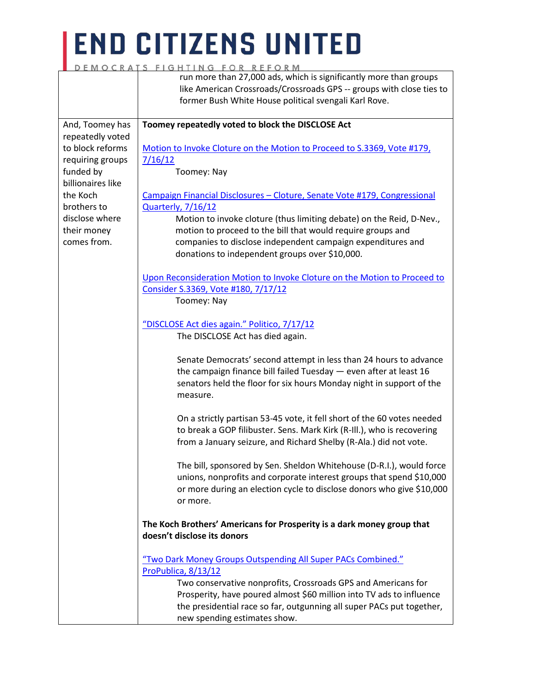|                   | FIGHIING FOK KEFOKM                                                                                                                                                                                                               |
|-------------------|-----------------------------------------------------------------------------------------------------------------------------------------------------------------------------------------------------------------------------------|
|                   | run more than 27,000 ads, which is significantly more than groups                                                                                                                                                                 |
|                   | like American Crossroads/Crossroads GPS -- groups with close ties to                                                                                                                                                              |
|                   | former Bush White House political svengali Karl Rove.                                                                                                                                                                             |
|                   |                                                                                                                                                                                                                                   |
| And, Toomey has   | Toomey repeatedly voted to block the DISCLOSE Act                                                                                                                                                                                 |
| repeatedly voted  |                                                                                                                                                                                                                                   |
|                   |                                                                                                                                                                                                                                   |
| to block reforms  | Motion to Invoke Cloture on the Motion to Proceed to S.3369, Vote #179,                                                                                                                                                           |
| requiring groups  | 7/16/12                                                                                                                                                                                                                           |
| funded by         | Toomey: Nay                                                                                                                                                                                                                       |
| billionaires like |                                                                                                                                                                                                                                   |
| the Koch          | Campaign Financial Disclosures - Cloture, Senate Vote #179, Congressional                                                                                                                                                         |
| brothers to       | <b>Quarterly, 7/16/12</b>                                                                                                                                                                                                         |
| disclose where    | Motion to invoke cloture (thus limiting debate) on the Reid, D-Nev.,                                                                                                                                                              |
| their money       | motion to proceed to the bill that would require groups and                                                                                                                                                                       |
| comes from.       | companies to disclose independent campaign expenditures and                                                                                                                                                                       |
|                   | donations to independent groups over \$10,000.                                                                                                                                                                                    |
|                   |                                                                                                                                                                                                                                   |
|                   | Upon Reconsideration Motion to Invoke Cloture on the Motion to Proceed to                                                                                                                                                         |
|                   | Consider S.3369, Vote #180, 7/17/12                                                                                                                                                                                               |
|                   | Toomey: Nay                                                                                                                                                                                                                       |
|                   |                                                                                                                                                                                                                                   |
|                   |                                                                                                                                                                                                                                   |
|                   | "DISCLOSE Act dies again." Politico, 7/17/12                                                                                                                                                                                      |
|                   | The DISCLOSE Act has died again.                                                                                                                                                                                                  |
|                   | Senate Democrats' second attempt in less than 24 hours to advance<br>the campaign finance bill failed Tuesday - even after at least 16<br>senators held the floor for six hours Monday night in support of the<br>measure.        |
|                   | On a strictly partisan 53-45 vote, it fell short of the 60 votes needed<br>to break a GOP filibuster. Sens. Mark Kirk (R-III.), who is recovering<br>from a January seizure, and Richard Shelby (R-Ala.) did not vote.            |
|                   | The bill, sponsored by Sen. Sheldon Whitehouse (D-R.I.), would force<br>unions, nonprofits and corporate interest groups that spend \$10,000<br>or more during an election cycle to disclose donors who give \$10,000<br>or more. |
|                   | The Koch Brothers' Americans for Prosperity is a dark money group that<br>doesn't disclose its donors                                                                                                                             |
|                   |                                                                                                                                                                                                                                   |
|                   | "Two Dark Money Groups Outspending All Super PACs Combined."                                                                                                                                                                      |
|                   | ProPublica, 8/13/12                                                                                                                                                                                                               |
|                   | Two conservative nonprofits, Crossroads GPS and Americans for                                                                                                                                                                     |
|                   | Prosperity, have poured almost \$60 million into TV ads to influence                                                                                                                                                              |
|                   | the presidential race so far, outgunning all super PACs put together,                                                                                                                                                             |
|                   | new spending estimates show.                                                                                                                                                                                                      |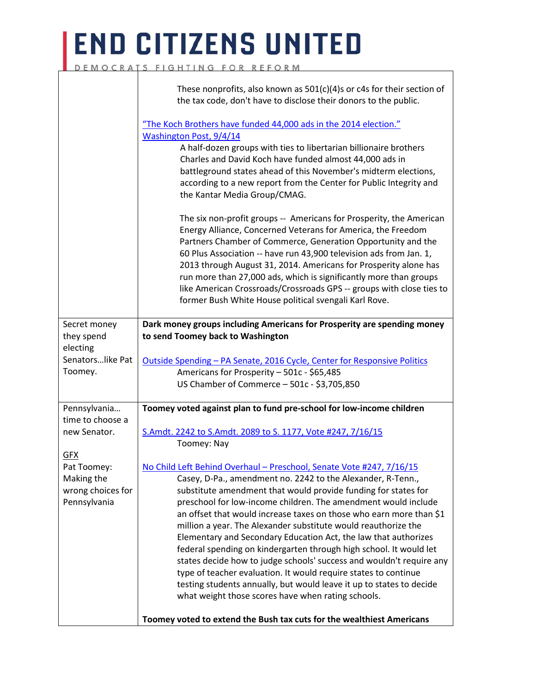### **END CITIZENS UNITED** DEMOCRATS FIGHTING FOR REFORM

|                                   | These nonprofits, also known as $501(c)(4)$ s or c4s for their section of<br>the tax code, don't have to disclose their donors to the public.<br>"The Koch Brothers have funded 44,000 ads in the 2014 election."<br>Washington Post, 9/4/14<br>A half-dozen groups with ties to libertarian billionaire brothers<br>Charles and David Koch have funded almost 44,000 ads in<br>battleground states ahead of this November's midterm elections,<br>according to a new report from the Center for Public Integrity and<br>the Kantar Media Group/CMAG. |
|-----------------------------------|-------------------------------------------------------------------------------------------------------------------------------------------------------------------------------------------------------------------------------------------------------------------------------------------------------------------------------------------------------------------------------------------------------------------------------------------------------------------------------------------------------------------------------------------------------|
|                                   | The six non-profit groups -- Americans for Prosperity, the American<br>Energy Alliance, Concerned Veterans for America, the Freedom<br>Partners Chamber of Commerce, Generation Opportunity and the<br>60 Plus Association -- have run 43,900 television ads from Jan. 1,<br>2013 through August 31, 2014. Americans for Prosperity alone has<br>run more than 27,000 ads, which is significantly more than groups<br>like American Crossroads/Crossroads GPS -- groups with close ties to<br>former Bush White House political svengali Karl Rove.   |
| Secret money                      | Dark money groups including Americans for Prosperity are spending money                                                                                                                                                                                                                                                                                                                                                                                                                                                                               |
| they spend<br>electing            | to send Toomey back to Washington                                                                                                                                                                                                                                                                                                                                                                                                                                                                                                                     |
| Senatorslike Pat                  | <u> Outside Spending – PA Senate, 2016 Cycle, Center for Responsive Politics</u>                                                                                                                                                                                                                                                                                                                                                                                                                                                                      |
| Toomey.                           | Americans for Prosperity - 501c - \$65,485                                                                                                                                                                                                                                                                                                                                                                                                                                                                                                            |
|                                   | US Chamber of Commerce - 501c - \$3,705,850                                                                                                                                                                                                                                                                                                                                                                                                                                                                                                           |
| Pennsylvania                      | Toomey voted against plan to fund pre-school for low-income children                                                                                                                                                                                                                                                                                                                                                                                                                                                                                  |
| time to choose a                  |                                                                                                                                                                                                                                                                                                                                                                                                                                                                                                                                                       |
| new Senator.                      | S.Amdt. 2242 to S.Amdt. 2089 to S. 1177, Vote #247, 7/16/15                                                                                                                                                                                                                                                                                                                                                                                                                                                                                           |
|                                   | Toomey: Nay                                                                                                                                                                                                                                                                                                                                                                                                                                                                                                                                           |
| GFX                               |                                                                                                                                                                                                                                                                                                                                                                                                                                                                                                                                                       |
| Pat Toomey:                       | No Child Left Behind Overhaul - Preschool, Senate Vote #247, 7/16/15                                                                                                                                                                                                                                                                                                                                                                                                                                                                                  |
| Making the                        | Casey, D-Pa., amendment no. 2242 to the Alexander, R-Tenn.,                                                                                                                                                                                                                                                                                                                                                                                                                                                                                           |
| wrong choices for<br>Pennsylvania | substitute amendment that would provide funding for states for<br>preschool for low-income children. The amendment would include                                                                                                                                                                                                                                                                                                                                                                                                                      |
|                                   | an offset that would increase taxes on those who earn more than \$1                                                                                                                                                                                                                                                                                                                                                                                                                                                                                   |
|                                   | million a year. The Alexander substitute would reauthorize the                                                                                                                                                                                                                                                                                                                                                                                                                                                                                        |
|                                   | Elementary and Secondary Education Act, the law that authorizes                                                                                                                                                                                                                                                                                                                                                                                                                                                                                       |
|                                   | federal spending on kindergarten through high school. It would let                                                                                                                                                                                                                                                                                                                                                                                                                                                                                    |
|                                   | states decide how to judge schools' success and wouldn't require any                                                                                                                                                                                                                                                                                                                                                                                                                                                                                  |
|                                   | type of teacher evaluation. It would require states to continue                                                                                                                                                                                                                                                                                                                                                                                                                                                                                       |
|                                   | testing students annually, but would leave it up to states to decide                                                                                                                                                                                                                                                                                                                                                                                                                                                                                  |
|                                   | what weight those scores have when rating schools.                                                                                                                                                                                                                                                                                                                                                                                                                                                                                                    |
|                                   | Toomey voted to extend the Bush tax cuts for the wealthiest Americans                                                                                                                                                                                                                                                                                                                                                                                                                                                                                 |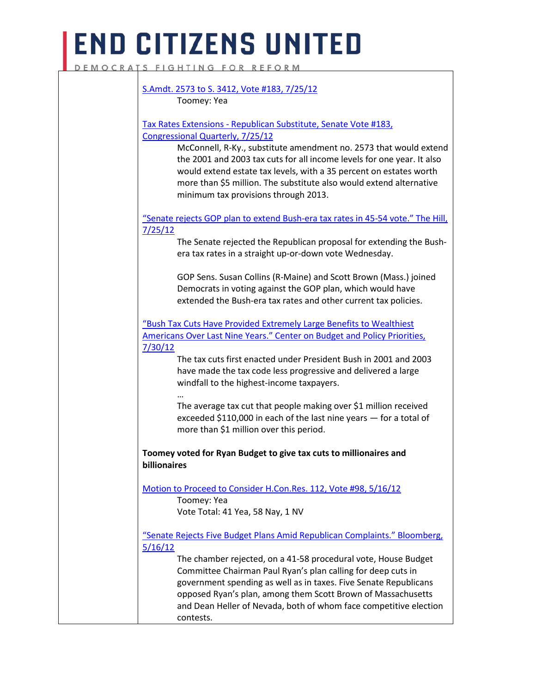DEMOCRATS FIGHTING FOR REFORM

|                | Toomey: Yea                                                                                                                                                                                                                                                                                                                      |
|----------------|----------------------------------------------------------------------------------------------------------------------------------------------------------------------------------------------------------------------------------------------------------------------------------------------------------------------------------|
|                |                                                                                                                                                                                                                                                                                                                                  |
|                | Tax Rates Extensions - Republican Substitute, Senate Vote #183,                                                                                                                                                                                                                                                                  |
|                | Congressional Quarterly, 7/25/12                                                                                                                                                                                                                                                                                                 |
|                | McConnell, R-Ky., substitute amendment no. 2573 that would extend<br>the 2001 and 2003 tax cuts for all income levels for one year. It also<br>would extend estate tax levels, with a 35 percent on estates worth<br>more than \$5 million. The substitute also would extend alternative<br>minimum tax provisions through 2013. |
|                | "Senate rejects GOP plan to extend Bush-era tax rates in 45-54 vote." The Hill,                                                                                                                                                                                                                                                  |
| <u>7/25/12</u> |                                                                                                                                                                                                                                                                                                                                  |
|                | The Senate rejected the Republican proposal for extending the Bush-<br>era tax rates in a straight up-or-down vote Wednesday.                                                                                                                                                                                                    |
|                | GOP Sens. Susan Collins (R-Maine) and Scott Brown (Mass.) joined                                                                                                                                                                                                                                                                 |
|                | Democrats in voting against the GOP plan, which would have                                                                                                                                                                                                                                                                       |
|                | extended the Bush-era tax rates and other current tax policies.                                                                                                                                                                                                                                                                  |
|                | "Bush Tax Cuts Have Provided Extremely Large Benefits to Wealthiest                                                                                                                                                                                                                                                              |
|                | Americans Over Last Nine Years." Center on Budget and Policy Priorities,                                                                                                                                                                                                                                                         |
| <u>7/30/12</u> |                                                                                                                                                                                                                                                                                                                                  |
|                | The tax cuts first enacted under President Bush in 2001 and 2003<br>have made the tax code less progressive and delivered a large<br>windfall to the highest-income taxpayers.                                                                                                                                                   |
|                | The average tax cut that people making over \$1 million received<br>exceeded \$110,000 in each of the last nine years - for a total of<br>more than \$1 million over this period.                                                                                                                                                |
| billionaires   | Toomey voted for Ryan Budget to give tax cuts to millionaires and                                                                                                                                                                                                                                                                |
|                | Motion to Proceed to Consider H.Con.Res. 112, Vote #98, 5/16/12                                                                                                                                                                                                                                                                  |
|                | Toomey: Yea                                                                                                                                                                                                                                                                                                                      |
|                | Vote Total: 41 Yea, 58 Nay, 1 NV                                                                                                                                                                                                                                                                                                 |
|                | "Senate Rejects Five Budget Plans Amid Republican Complaints." Bloomberg,                                                                                                                                                                                                                                                        |
| <u>5/16/12</u> |                                                                                                                                                                                                                                                                                                                                  |
|                | The chamber rejected, on a 41-58 procedural vote, House Budget                                                                                                                                                                                                                                                                   |
|                | Committee Chairman Paul Ryan's plan calling for deep cuts in                                                                                                                                                                                                                                                                     |
|                | government spending as well as in taxes. Five Senate Republicans                                                                                                                                                                                                                                                                 |
|                | opposed Ryan's plan, among them Scott Brown of Massachusetts                                                                                                                                                                                                                                                                     |
|                | and Dean Heller of Nevada, both of whom face competitive election                                                                                                                                                                                                                                                                |
|                | contests.                                                                                                                                                                                                                                                                                                                        |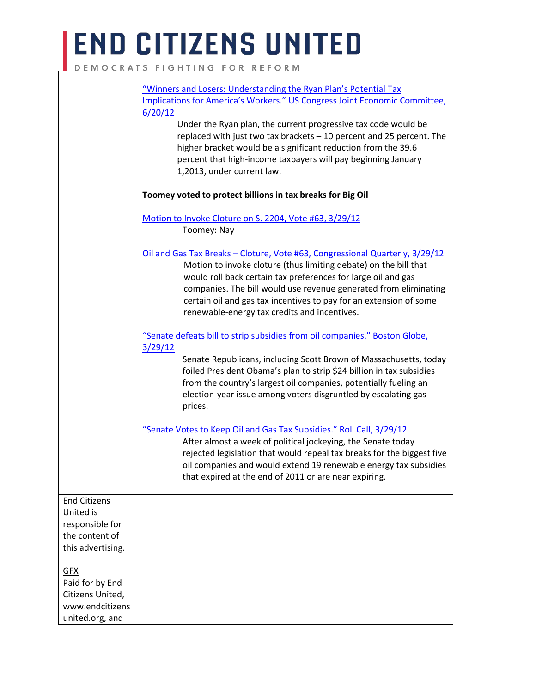### **END CITIZENS UNITED** DEMOCRATS FIGHTING FOR REFORM

|                                                                                            | "Winners and Losers: Understanding the Ryan Plan's Potential Tax<br>Implications for America's Workers." US Congress Joint Economic Committee,<br>6/20/12<br>Under the Ryan plan, the current progressive tax code would be<br>replaced with just two tax brackets - 10 percent and 25 percent. The<br>higher bracket would be a significant reduction from the 39.6<br>percent that high-income taxpayers will pay beginning January<br>1,2013, under current law.<br>Toomey voted to protect billions in tax breaks for Big Oil |
|--------------------------------------------------------------------------------------------|-----------------------------------------------------------------------------------------------------------------------------------------------------------------------------------------------------------------------------------------------------------------------------------------------------------------------------------------------------------------------------------------------------------------------------------------------------------------------------------------------------------------------------------|
|                                                                                            | Motion to Invoke Cloture on S. 2204, Vote #63, 3/29/12<br>Toomey: Nay                                                                                                                                                                                                                                                                                                                                                                                                                                                             |
|                                                                                            | Oil and Gas Tax Breaks - Cloture, Vote #63, Congressional Quarterly, 3/29/12<br>Motion to invoke cloture (thus limiting debate) on the bill that<br>would roll back certain tax preferences for large oil and gas<br>companies. The bill would use revenue generated from eliminating<br>certain oil and gas tax incentives to pay for an extension of some<br>renewable-energy tax credits and incentives.                                                                                                                       |
|                                                                                            | "Senate defeats bill to strip subsidies from oil companies." Boston Globe,<br>3/29/12<br>Senate Republicans, including Scott Brown of Massachusetts, today<br>foiled President Obama's plan to strip \$24 billion in tax subsidies<br>from the country's largest oil companies, potentially fueling an<br>election-year issue among voters disgruntled by escalating gas<br>prices.                                                                                                                                               |
|                                                                                            | "Senate Votes to Keep Oil and Gas Tax Subsidies." Roll Call, 3/29/12<br>After almost a week of political jockeying, the Senate today<br>rejected legislation that would repeal tax breaks for the biggest five<br>oil companies and would extend 19 renewable energy tax subsidies<br>that expired at the end of 2011 or are near expiring.                                                                                                                                                                                       |
| <b>End Citizens</b><br>United is<br>responsible for<br>the content of<br>this advertising. |                                                                                                                                                                                                                                                                                                                                                                                                                                                                                                                                   |
| <u>GFX</u><br>Paid for by End<br>Citizens United,<br>www.endcitizens<br>united.org, and    |                                                                                                                                                                                                                                                                                                                                                                                                                                                                                                                                   |